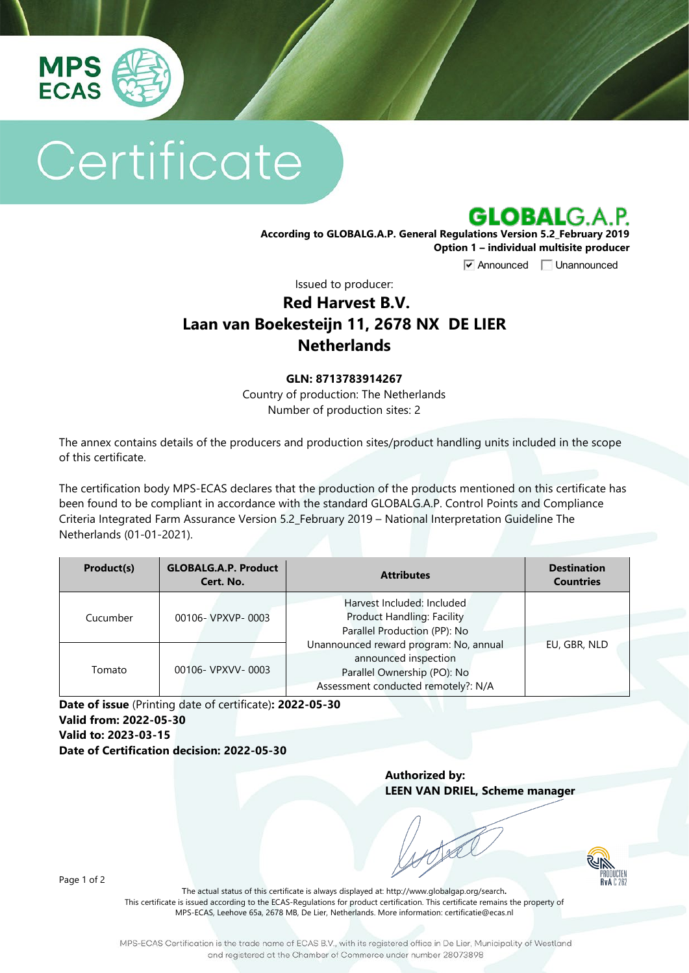

# Certificate



**According to GLOBALG.A.P. General Regulations Version 5.2\_February 2019 Option 1 – individual multisite producer**

**V** Announced **Unannounced** 

Issued to producer:

## **Red Harvest B.V. Laan van Boekesteijn 11, 2678 NX DE LIER Netherlands**

#### **GLN: 8713783914267**

Country of production: The Netherlands Number of production sites: 2

The annex contains details of the producers and production sites/product handling units included in the scope of this certificate.

The certification body MPS-ECAS declares that the production of the products mentioned on this certificate has been found to be compliant in accordance with the standard GLOBALG.A.P. Control Points and Compliance Criteria Integrated Farm Assurance Version 5.2\_February 2019 – National Interpretation Guideline The Netherlands (01-01-2021).

| Product(s) | <b>GLOBALG.A.P. Product</b><br>Cert. No. | <b>Attributes</b>                                                                                                                    | <b>Destination</b><br><b>Countries</b> |
|------------|------------------------------------------|--------------------------------------------------------------------------------------------------------------------------------------|----------------------------------------|
| Cucumber   | 00106- VPXVP-0003                        | Harvest Included: Included<br><b>Product Handling: Facility</b><br>Parallel Production (PP): No                                      |                                        |
| Tomato     | 00106- VPXVV-0003                        | Unannounced reward program: No, annual<br>announced inspection<br>Parallel Ownership (PO): No<br>Assessment conducted remotely?: N/A | EU, GBR, NLD                           |

**Date of issue** (Printing date of certificate)**: 2022-05-30 Valid from: 2022-05-30 Valid to: 2023-03-15 Date of Certification decision: 2022-05-30**

> **Authorized by: LEEN VAN DRIEL, Scheme manager**



Page 1 of 2

The actual status of this certificate is always displayed at: <http://www.globalgap.org/search>**.**  This certificate is issued according to the ECAS-Regulations for product certification. This certificate remains the property of MPS-ECAS, Leehove 65a, 2678 MB, De Lier, Netherlands. More information[: certificatie@ecas.nl](mailto:certificatie@ecas.nl)